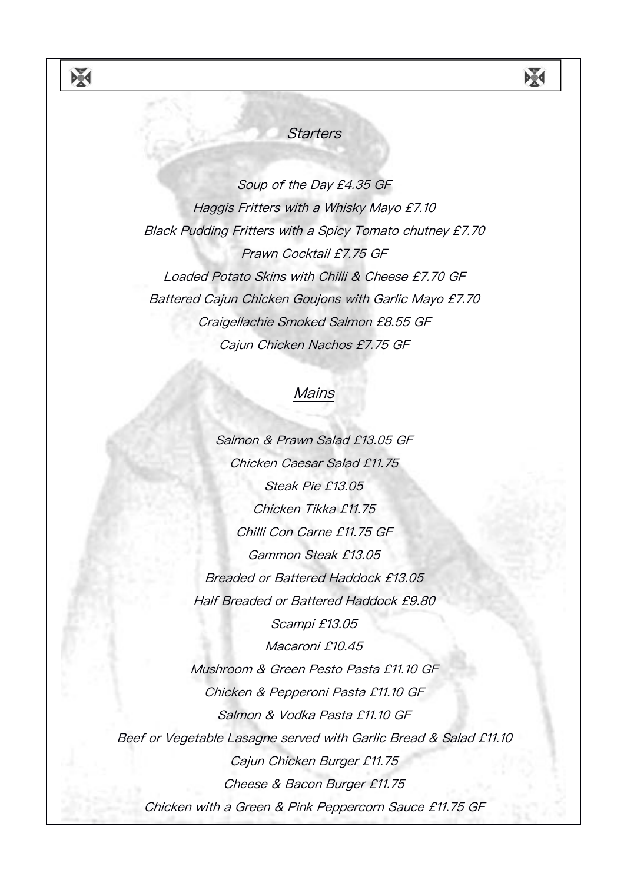## **Starters**

X

Soup of the Day £4.35 GF Haggis Fritters with <sup>a</sup> Whisky Mayo £7.10 Black Pudding Fritters with <sup>a</sup> Spicy Tomato chutney £7.70 Prawn Cocktail £7.75 GF Loaded Potato Skins with Chilli & Cheese £7.70 GF Battered Cajun Chicken Goujons with Garlic Mayo £7.70 Craigellachie Smoked Salmon £8.55 GF Cajun Chicken Nachos £7.75 GF

## **Mains**

Salmon & Prawn Salad £13.05 GF Chicken Caesar Salad £11.75 Steak Pie £13.05 Chicken Tikka £11.75 Chilli Con Carne £11.75 GF Gammon Steak £13.05 Breaded or Battered Haddock £13.05 Half Breaded or Battered Haddock £9.80 Scampi £13.05 Macaroni £10.45 Mushroom & Green Pesto Pasta £11.10 GF Chicken & Pepperoni Pasta £11.10 GF Salmon & Vodka Pasta £11.10 GF Beef or Vegetable Lasagne served with Garlic Bread & Salad £11.10 Cajun Chicken Burger £11.75 Cheese & Bacon Burger £11.75 Chicken with <sup>a</sup> Green & Pink Peppercorn Sauce £11.75 GF